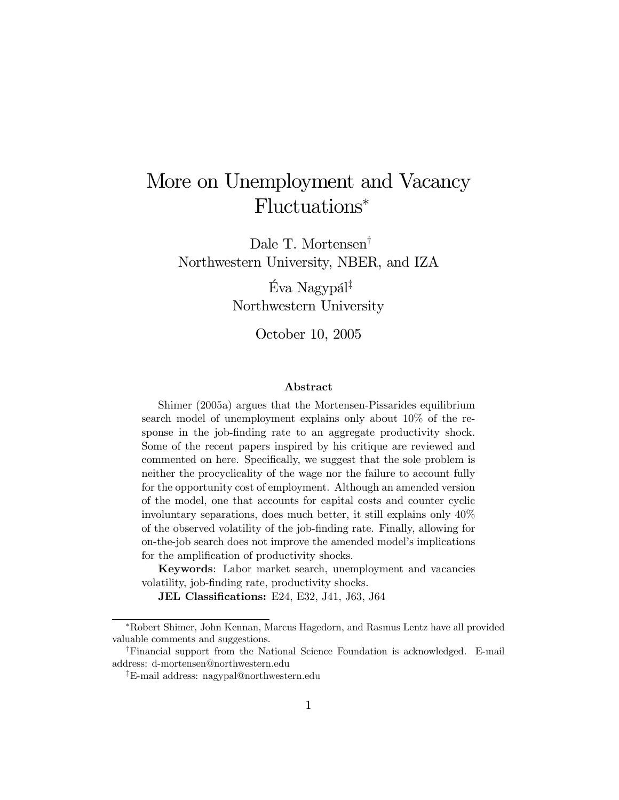# More on Unemployment and Vacancy Fluctuations<sup>∗</sup>

Dale T. Mortensen† Northwestern University, NBER, and IZA

> Éva Nagypál‡ Northwestern University

> > October 10, 2005

#### Abstract

Shimer (2005a) argues that the Mortensen-Pissarides equilibrium search model of unemployment explains only about 10% of the response in the job-finding rate to an aggregate productivity shock. Some of the recent papers inspired by his critique are reviewed and commented on here. Specifically, we suggest that the sole problem is neither the procyclicality of the wage nor the failure to account fully for the opportunity cost of employment. Although an amended version of the model, one that accounts for capital costs and counter cyclic involuntary separations, does much better, it still explains only 40% of the observed volatility of the job-finding rate. Finally, allowing for on-the-job search does not improve the amended model's implications for the amplification of productivity shocks.

Keywords: Labor market search, unemployment and vacancies volatility, job-finding rate, productivity shocks.

JEL Classifications: E24, E32, J41, J63, J64

<sup>∗</sup>Robert Shimer, John Kennan, Marcus Hagedorn, and Rasmus Lentz have all provided valuable comments and suggestions.

<sup>†</sup>Financial support from the National Science Foundation is acknowledged. E-mail address: d-mortensen@northwestern.edu

<sup>‡</sup>E-mail address: nagypal@northwestern.edu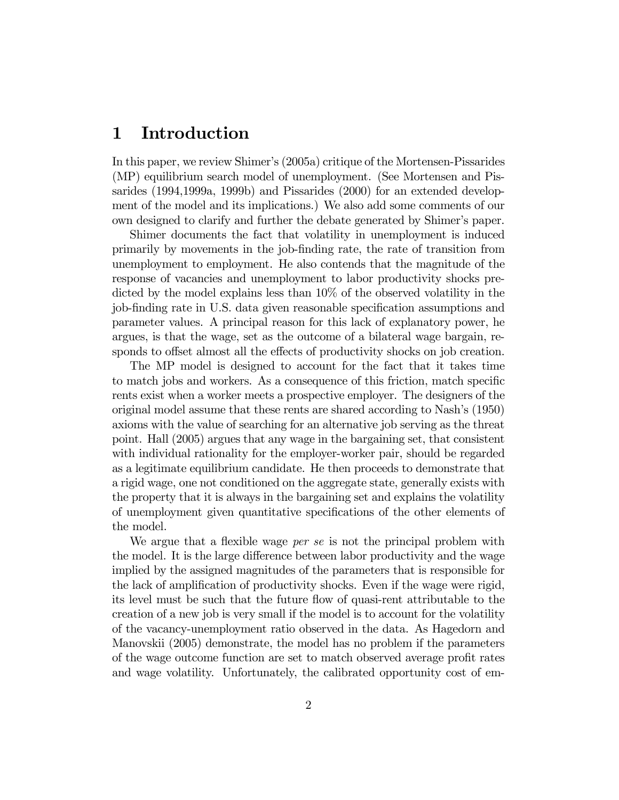# 1 Introduction

In this paper, we review Shimer's (2005a) critique of the Mortensen-Pissarides (MP) equilibrium search model of unemployment. (See Mortensen and Pissarides (1994,1999a, 1999b) and Pissarides (2000) for an extended development of the model and its implications.) We also add some comments of our own designed to clarify and further the debate generated by Shimer's paper.

Shimer documents the fact that volatility in unemployment is induced primarily by movements in the job-finding rate, the rate of transition from unemployment to employment. He also contends that the magnitude of the response of vacancies and unemployment to labor productivity shocks predicted by the model explains less than 10% of the observed volatility in the job-finding rate in U.S. data given reasonable specification assumptions and parameter values. A principal reason for this lack of explanatory power, he argues, is that the wage, set as the outcome of a bilateral wage bargain, responds to offset almost all the effects of productivity shocks on job creation.

The MP model is designed to account for the fact that it takes time to match jobs and workers. As a consequence of this friction, match specific rents exist when a worker meets a prospective employer. The designers of the original model assume that these rents are shared according to Nash's (1950) axioms with the value of searching for an alternative job serving as the threat point. Hall (2005) argues that any wage in the bargaining set, that consistent with individual rationality for the employer-worker pair, should be regarded as a legitimate equilibrium candidate. He then proceeds to demonstrate that a rigid wage, one not conditioned on the aggregate state, generally exists with the property that it is always in the bargaining set and explains the volatility of unemployment given quantitative specifications of the other elements of the model.

We argue that a flexible wage *per se* is not the principal problem with the model. It is the large difference between labor productivity and the wage implied by the assigned magnitudes of the parameters that is responsible for the lack of amplification of productivity shocks. Even if the wage were rigid, its level must be such that the future flow of quasi-rent attributable to the creation of a new job is very small if the model is to account for the volatility of the vacancy-unemployment ratio observed in the data. As Hagedorn and Manovskii (2005) demonstrate, the model has no problem if the parameters of the wage outcome function are set to match observed average profit rates and wage volatility. Unfortunately, the calibrated opportunity cost of em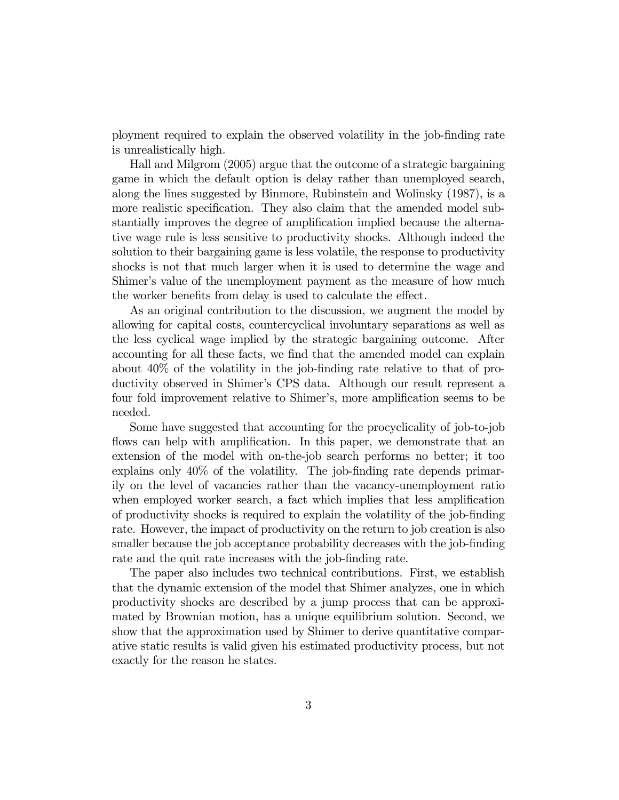ployment required to explain the observed volatility in the job-finding rate is unrealistically high.

Hall and Milgrom (2005) argue that the outcome of a strategic bargaining game in which the default option is delay rather than unemployed search, along the lines suggested by Binmore, Rubinstein and Wolinsky (1987), is a more realistic specification. They also claim that the amended model substantially improves the degree of amplification implied because the alternative wage rule is less sensitive to productivity shocks. Although indeed the solution to their bargaining game is less volatile, the response to productivity shocks is not that much larger when it is used to determine the wage and Shimer's value of the unemployment payment as the measure of how much the worker benefits from delay is used to calculate the effect.

As an original contribution to the discussion, we augment the model by allowing for capital costs, countercyclical involuntary separations as well as the less cyclical wage implied by the strategic bargaining outcome. After accounting for all these facts, we find that the amended model can explain about 40% of the volatility in the job-finding rate relative to that of productivity observed in Shimer's CPS data. Although our result represent a four fold improvement relative to Shimer's, more amplification seems to be needed.

Some have suggested that accounting for the procyclicality of job-to-job flows can help with amplification. In this paper, we demonstrate that an extension of the model with on-the-job search performs no better; it too explains only 40% of the volatility. The job-finding rate depends primarily on the level of vacancies rather than the vacancy-unemployment ratio when employed worker search, a fact which implies that less amplification of productivity shocks is required to explain the volatility of the job-finding rate. However, the impact of productivity on the return to job creation is also smaller because the job acceptance probability decreases with the job-finding rate and the quit rate increases with the job-finding rate.

The paper also includes two technical contributions. First, we establish that the dynamic extension of the model that Shimer analyzes, one in which productivity shocks are described by a jump process that can be approximated by Brownian motion, has a unique equilibrium solution. Second, we show that the approximation used by Shimer to derive quantitative comparative static results is valid given his estimated productivity process, but not exactly for the reason he states.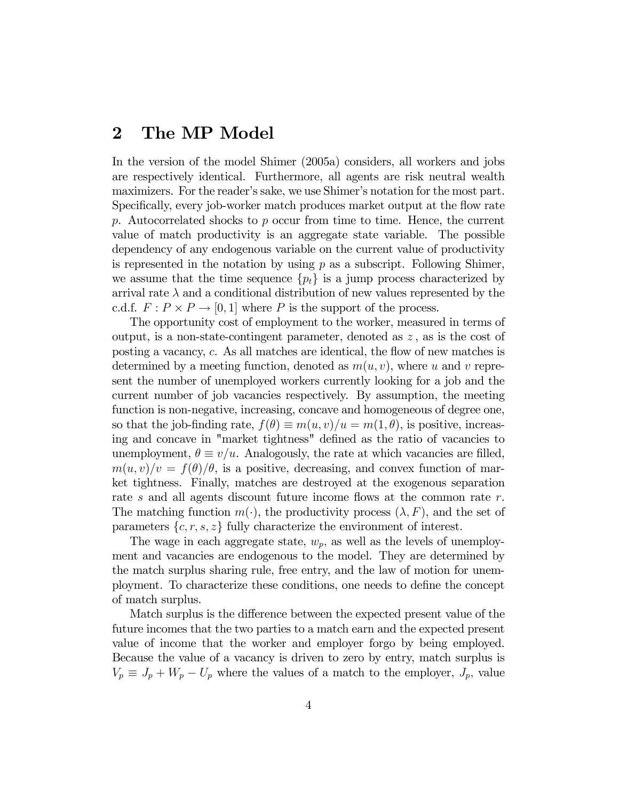# 2 The MP Model

In the version of the model Shimer (2005a) considers, all workers and jobs are respectively identical. Furthermore, all agents are risk neutral wealth maximizers. For the reader's sake, we use Shimer's notation for the most part. Specifically, every job-worker match produces market output at the flow rate p. Autocorrelated shocks to p occur from time to time. Hence, the current value of match productivity is an aggregate state variable. The possible dependency of any endogenous variable on the current value of productivity is represented in the notation by using  $p$  as a subscript. Following Shimer, we assume that the time sequence  $\{p_t\}$  is a jump process characterized by arrival rate  $\lambda$  and a conditional distribution of new values represented by the c.d.f.  $F: P \times P \to [0, 1]$  where P is the support of the process.

The opportunity cost of employment to the worker, measured in terms of output, is a non-state-contingent parameter, denoted as  $z$ , as is the cost of posting a vacancy, c. As all matches are identical, the flow of new matches is determined by a meeting function, denoted as  $m(u, v)$ , where u and v represent the number of unemployed workers currently looking for a job and the current number of job vacancies respectively. By assumption, the meeting function is non-negative, increasing, concave and homogeneous of degree one, so that the job-finding rate,  $f(\theta) \equiv m(u, v)/u = m(1, \theta)$ , is positive, increasing and concave in "market tightness" defined as the ratio of vacancies to unemployment,  $\theta \equiv v/u$ . Analogously, the rate at which vacancies are filled,  $m(u, v)/v = f(\theta)/\theta$ , is a positive, decreasing, and convex function of market tightness. Finally, matches are destroyed at the exogenous separation rate s and all agents discount future income flows at the common rate  $r$ . The matching function  $m(\cdot)$ , the productivity process  $(\lambda, F)$ , and the set of parameters  $\{c, r, s, z\}$  fully characterize the environment of interest.

The wage in each aggregate state,  $w_p$ , as well as the levels of unemployment and vacancies are endogenous to the model. They are determined by the match surplus sharing rule, free entry, and the law of motion for unemployment. To characterize these conditions, one needs to define the concept of match surplus.

Match surplus is the difference between the expected present value of the future incomes that the two parties to a match earn and the expected present value of income that the worker and employer forgo by being employed. Because the value of a vacancy is driven to zero by entry, match surplus is  $V_p \equiv J_p + W_p - U_p$  where the values of a match to the employer,  $J_p$ , value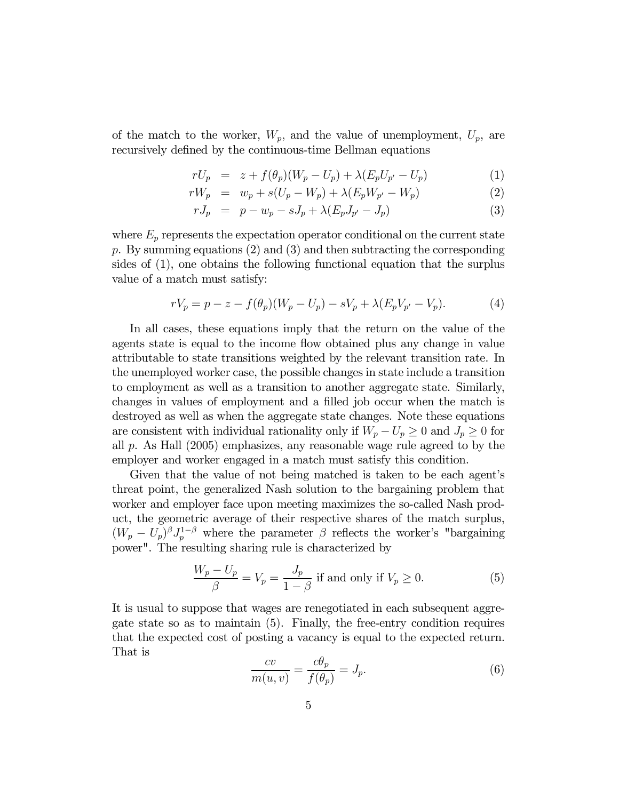of the match to the worker,  $W_p$ , and the value of unemployment,  $U_p$ , are recursively defined by the continuous-time Bellman equations

$$
rU_p = z + f(\theta_p)(W_p - U_p) + \lambda (E_p U_{p'} - U_p)
$$
 (1)

$$
rW_p = w_p + s(U_p - W_p) + \lambda (E_p W_{p'} - W_p)
$$
 (2)

$$
rJ_p = p - w_p - sJ_p + \lambda (E_p J_{p'} - J_p)
$$
 (3)

where  $E_p$  represents the expectation operator conditional on the current state p. By summing equations  $(2)$  and  $(3)$  and then subtracting the corresponding sides of (1), one obtains the following functional equation that the surplus value of a match must satisfy:

$$
rV_p = p - z - f(\theta_p)(W_p - U_p) - sV_p + \lambda(E_pV_{p'} - V_p).
$$
 (4)

In all cases, these equations imply that the return on the value of the agents state is equal to the income flow obtained plus any change in value attributable to state transitions weighted by the relevant transition rate. In the unemployed worker case, the possible changes in state include a transition to employment as well as a transition to another aggregate state. Similarly, changes in values of employment and a filled job occur when the match is destroyed as well as when the aggregate state changes. Note these equations are consistent with individual rationality only if  $W_p - U_p \geq 0$  and  $J_p \geq 0$  for all p. As Hall (2005) emphasizes, any reasonable wage rule agreed to by the employer and worker engaged in a match must satisfy this condition.

Given that the value of not being matched is taken to be each agent's threat point, the generalized Nash solution to the bargaining problem that worker and employer face upon meeting maximizes the so-called Nash product, the geometric average of their respective shares of the match surplus,  $(W_p - U_p)^{\beta} J_p^{1-\beta}$  where the parameter  $\beta$  reflects the worker's "bargaining" power". The resulting sharing rule is characterized by

$$
\frac{W_p - U_p}{\beta} = V_p = \frac{J_p}{1 - \beta}
$$
 if and only if  $V_p \ge 0$ . (5)

It is usual to suppose that wages are renegotiated in each subsequent aggregate state so as to maintain (5). Finally, the free-entry condition requires that the expected cost of posting a vacancy is equal to the expected return. That is

$$
\frac{cv}{m(u,v)} = \frac{c\theta_p}{f(\theta_p)} = J_p.
$$
\n(6)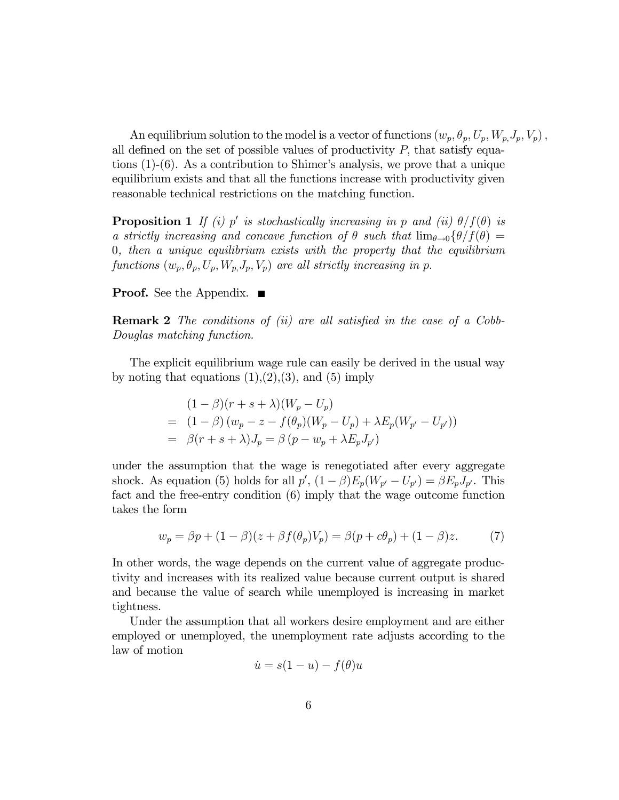An equilibrium solution to the model is a vector of functions  $(w_p, \theta_p, U_p, W_p, J_p, V_p)$ , all defined on the set of possible values of productivity  $P$ , that satisfy equations (1)-(6). As a contribution to Shimer's analysis, we prove that a unique equilibrium exists and that all the functions increase with productivity given reasonable technical restrictions on the matching function.

**Proposition 1** If (i) p' is stochastically increasing in p and (ii)  $\theta/f(\theta)$  is a strictly increasing and concave function of  $\theta$  such that  $\lim_{\theta\to 0} {\theta/f(\theta)} =$ 0, then a unique equilibrium exists with the property that the equilibrium functions  $(w_p, \theta_p, U_p, W_p, J_p, V_p)$  are all strictly increasing in p.

#### **Proof.** See the Appendix.  $\blacksquare$

Remark 2 The conditions of (ii) are all satisfied in the case of a Cobb-Douglas matching function.

The explicit equilibrium wage rule can easily be derived in the usual way by noting that equations  $(1),(2),(3)$ , and  $(5)$  imply

$$
(1 - \beta)(r + s + \lambda)(W_p - U_p)
$$
  
=  $(1 - \beta)(w_p - z - f(\theta_p)(W_p - U_p) + \lambda E_p(W_{p'} - U_{p'}))$   
=  $\beta(r + s + \lambda)J_p = \beta(p - w_p + \lambda E_p J_{p'})$ 

under the assumption that the wage is renegotiated after every aggregate shock. As equation (5) holds for all  $p'$ ,  $(1 - \beta)E_p(W_{p'} - U_{p'}) = \beta E_p J_{p'}$ . This fact and the free-entry condition (6) imply that the wage outcome function takes the form

$$
w_p = \beta p + (1 - \beta)(z + \beta f(\theta_p)V_p) = \beta(p + c\theta_p) + (1 - \beta)z.
$$
 (7)

In other words, the wage depends on the current value of aggregate productivity and increases with its realized value because current output is shared and because the value of search while unemployed is increasing in market tightness.

Under the assumption that all workers desire employment and are either employed or unemployed, the unemployment rate adjusts according to the law of motion

$$
\dot{u} = s(1 - u) - f(\theta)u
$$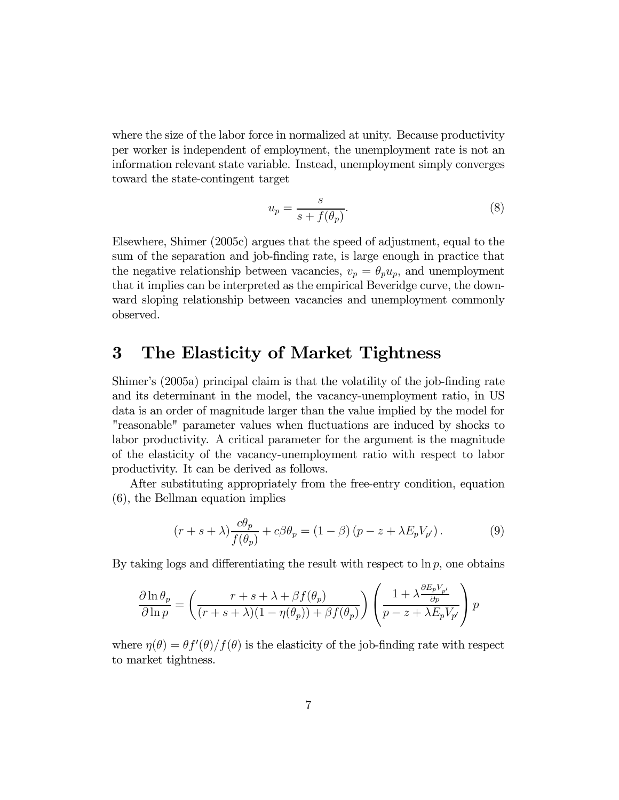where the size of the labor force in normalized at unity. Because productivity per worker is independent of employment, the unemployment rate is not an information relevant state variable. Instead, unemployment simply converges toward the state-contingent target

$$
u_p = \frac{s}{s + f(\theta_p)}.\t\t(8)
$$

Elsewhere, Shimer (2005c) argues that the speed of adjustment, equal to the sum of the separation and job-finding rate, is large enough in practice that the negative relationship between vacancies,  $v_p = \theta_p u_p$ , and unemployment that it implies can be interpreted as the empirical Beveridge curve, the downward sloping relationship between vacancies and unemployment commonly observed.

# 3 The Elasticity of Market Tightness

Shimer's (2005a) principal claim is that the volatility of the job-finding rate and its determinant in the model, the vacancy-unemployment ratio, in US data is an order of magnitude larger than the value implied by the model for "reasonable" parameter values when fluctuations are induced by shocks to labor productivity. A critical parameter for the argument is the magnitude of the elasticity of the vacancy-unemployment ratio with respect to labor productivity. It can be derived as follows.

After substituting appropriately from the free-entry condition, equation (6), the Bellman equation implies

$$
(r+s+\lambda)\frac{c\theta_p}{f(\theta_p)} + c\beta\theta_p = (1-\beta)(p-z+\lambda E_p V_{p'}).
$$
 (9)

By taking logs and differentiating the result with respect to  $\ln p$ , one obtains

$$
\frac{\partial \ln \theta_p}{\partial \ln p} = \left( \frac{r+s+\lambda+\beta f(\theta_p)}{(r+s+\lambda)(1-\eta(\theta_p))+\beta f(\theta_p)} \right) \left( \frac{1+\lambda \frac{\partial E_p V_{p'}}{\partial p}}{p-z+\lambda E_p V_{p'}} \right) p
$$

where  $\eta(\theta) = \frac{\theta f'(\theta)}{f(\theta)}$  is the elasticity of the job-finding rate with respect to market tightness.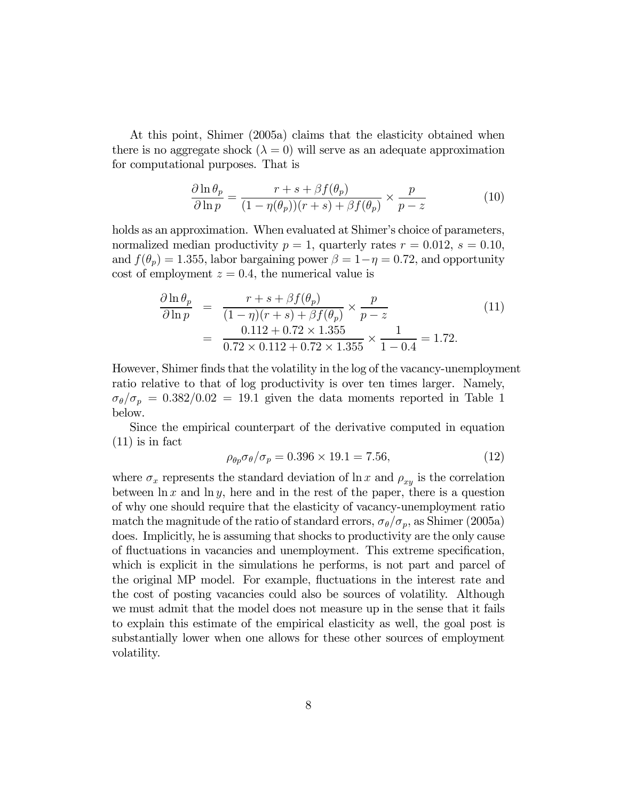At this point, Shimer (2005a) claims that the elasticity obtained when there is no aggregate shock  $(\lambda = 0)$  will serve as an adequate approximation for computational purposes. That is

$$
\frac{\partial \ln \theta_p}{\partial \ln p} = \frac{r+s + \beta f(\theta_p)}{(1 - \eta(\theta_p))(r+s) + \beta f(\theta_p)} \times \frac{p}{p-z}
$$
(10)

holds as an approximation. When evaluated at Shimer's choice of parameters, normalized median productivity  $p = 1$ , quarterly rates  $r = 0.012$ ,  $s = 0.10$ , and  $f(\theta_p)=1.355$ , labor bargaining power  $\beta=1-\eta=0.72$ , and opportunity cost of employment  $z = 0.4$ , the numerical value is

$$
\frac{\partial \ln \theta_p}{\partial \ln p} = \frac{r + s + \beta f(\theta_p)}{(1 - \eta)(r + s) + \beta f(\theta_p)} \times \frac{p}{p - z} \n= \frac{0.112 + 0.72 \times 1.355}{0.72 \times 0.112 + 0.72 \times 1.355} \times \frac{1}{1 - 0.4} = 1.72.
$$
\n(11)

However, Shimer finds that the volatility in the log of the vacancy-unemployment ratio relative to that of log productivity is over ten times larger. Namely,  $\sigma_{\theta}/\sigma_p = 0.382/0.02 = 19.1$  given the data moments reported in Table 1 below.

Since the empirical counterpart of the derivative computed in equation (11) is in fact

$$
\rho_{\theta p} \sigma_{\theta} / \sigma_p = 0.396 \times 19.1 = 7.56,\tag{12}
$$

where  $\sigma_x$  represents the standard deviation of  $\ln x$  and  $\rho_{xy}$  is the correlation between  $\ln x$  and  $\ln y$ , here and in the rest of the paper, there is a question of why one should require that the elasticity of vacancy-unemployment ratio match the magnitude of the ratio of standard errors,  $\sigma_{\theta}/\sigma_{p}$ , as Shimer (2005a) does. Implicitly, he is assuming that shocks to productivity are the only cause of fluctuations in vacancies and unemployment. This extreme specification, which is explicit in the simulations he performs, is not part and parcel of the original MP model. For example, fluctuations in the interest rate and the cost of posting vacancies could also be sources of volatility. Although we must admit that the model does not measure up in the sense that it fails to explain this estimate of the empirical elasticity as well, the goal post is substantially lower when one allows for these other sources of employment volatility.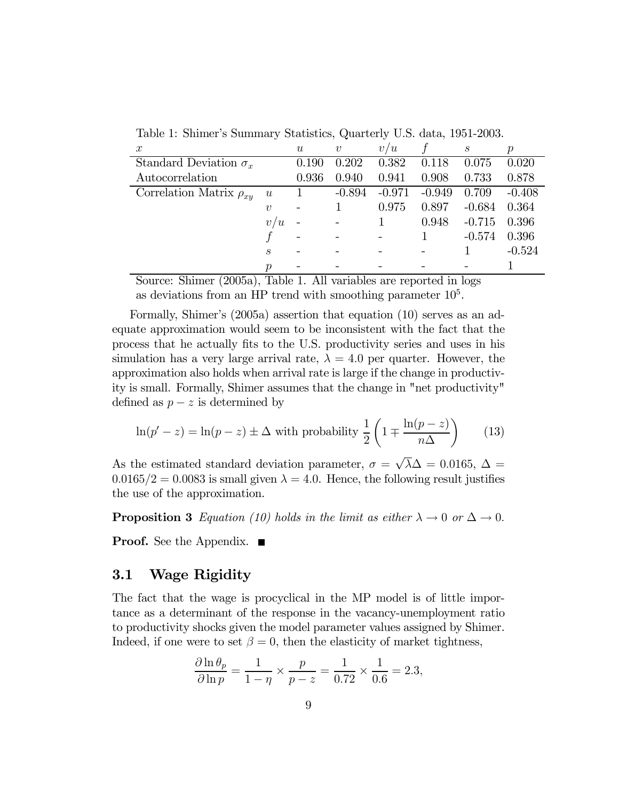| $\boldsymbol{x}$               |                             | $\boldsymbol{\mathit{u}}$ | $\boldsymbol{v}$ | v <sub>l</sub><br>$^\prime u$ |          | $\boldsymbol{s}$ |          |
|--------------------------------|-----------------------------|---------------------------|------------------|-------------------------------|----------|------------------|----------|
| Standard Deviation $\sigma_x$  |                             | 0.190                     | 0.202            | 0.382                         | 0.118    | 0.075            | 0.020    |
| Autocorrelation                |                             | 0.936                     | 0.940            | 0.941                         | 0.908    | 0.733            | 0.878    |
| Correlation Matrix $\rho_{xy}$ | u                           |                           | $-0.894$         | $-0.971$                      | $-0.949$ | 0.709            | $-0.408$ |
|                                | $\boldsymbol{v}$            |                           |                  | 0.975                         | 0.897    | $-0.684$         | 0.364    |
|                                | /u<br>$\boldsymbol{v}$      |                           |                  |                               | 0.948    | $-0.715$         | 0.396    |
|                                |                             |                           |                  |                               |          | $-0.574$         | 0.396    |
|                                | $\mathcal{S}_{\mathcal{S}}$ |                           |                  |                               |          |                  | $-0.524$ |
|                                | $\boldsymbol{p}$            |                           |                  |                               |          |                  |          |

Table 1: Shimer's Summary Statistics, Quarterly U.S. data, 1951-2003.

Source: Shimer (2005a), Table 1. All variables are reported in logs as deviations from an HP trend with smoothing parameter  $10<sup>5</sup>$ .

Formally, Shimer's (2005a) assertion that equation (10) serves as an adequate approximation would seem to be inconsistent with the fact that the process that he actually fits to the U.S. productivity series and uses in his simulation has a very large arrival rate,  $\lambda = 4.0$  per quarter. However, the approximation also holds when arrival rate is large if the change in productivity is small. Formally, Shimer assumes that the change in "net productivity" defined as  $p - z$  is determined by

$$
\ln(p'-z) = \ln(p-z) \pm \Delta \text{ with probability } \frac{1}{2} \left( 1 \mp \frac{\ln(p-z)}{n\Delta} \right) \tag{13}
$$

As the estimated standard deviation parameter,  $\sigma = \sqrt{\lambda} \Delta = 0.0165$ ,  $\Delta =$  $0.0165/2=0.0083$  is small given  $\lambda = 4.0$ . Hence, the following result justifies the use of the approximation.

**Proposition 3** Equation (10) holds in the limit as either  $\lambda \to 0$  or  $\Delta \to 0$ .

**Proof.** See the Appendix.  $\blacksquare$ 

### 3.1 Wage Rigidity

The fact that the wage is procyclical in the MP model is of little importance as a determinant of the response in the vacancy-unemployment ratio to productivity shocks given the model parameter values assigned by Shimer. Indeed, if one were to set  $\beta = 0$ , then the elasticity of market tightness,

$$
\frac{\partial \ln \theta_p}{\partial \ln p} = \frac{1}{1 - \eta} \times \frac{p}{p - z} = \frac{1}{0.72} \times \frac{1}{0.6} = 2.3,
$$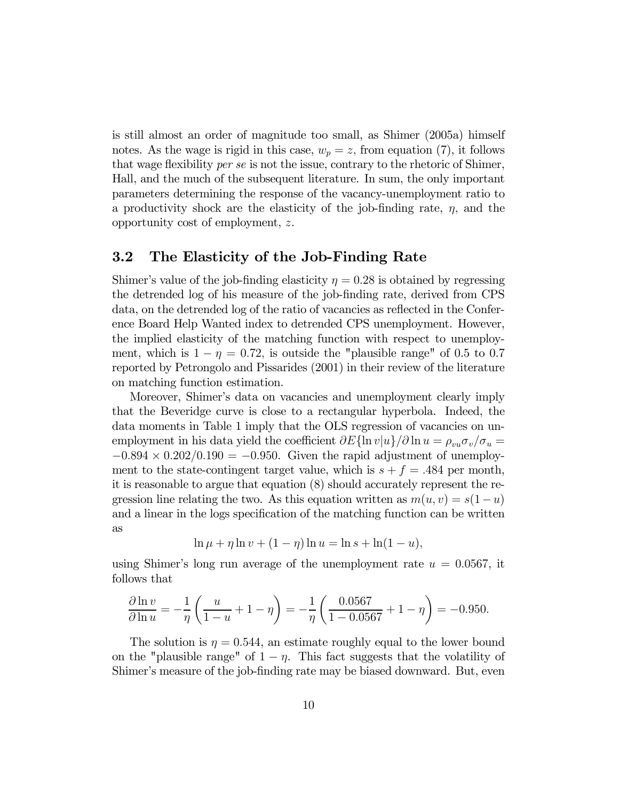is still almost an order of magnitude too small, as Shimer (2005a) himself notes. As the wage is rigid in this case,  $w_p = z$ , from equation (7), it follows that wage flexibility per se is not the issue, contrary to the rhetoric of Shimer, Hall, and the much of the subsequent literature. In sum, the only important parameters determining the response of the vacancy-unemployment ratio to a productivity shock are the elasticity of the job-finding rate,  $\eta$ , and the opportunity cost of employment, z.

#### 3.2 The Elasticity of the Job-Finding Rate

Shimer's value of the job-finding elasticity  $\eta = 0.28$  is obtained by regressing the detrended log of his measure of the job-finding rate, derived from CPS data, on the detrended log of the ratio of vacancies as reflected in the Conference Board Help Wanted index to detrended CPS unemployment. However, the implied elasticity of the matching function with respect to unemployment, which is  $1 - \eta = 0.72$ , is outside the "plausible range" of 0.5 to 0.7 reported by Petrongolo and Pissarides (2001) in their review of the literature on matching function estimation.

Moreover, Shimer's data on vacancies and unemployment clearly imply that the Beveridge curve is close to a rectangular hyperbola. Indeed, the data moments in Table 1 imply that the OLS regression of vacancies on unemployment in his data yield the coefficient  $\partial E{\ln v|u}\rangle/\partial \ln u = \rho_{vu}\sigma_v/\sigma_u =$  $-0.894 \times 0.202/0.190 = -0.950$ . Given the rapid adjustment of unemployment to the state-contingent target value, which is  $s + f = .484$  per month, it is reasonable to argue that equation (8) should accurately represent the regression line relating the two. As this equation written as  $m(u, v) = s(1-u)$ and a linear in the logs specification of the matching function can be written as

$$
\ln \mu + \eta \ln v + (1 - \eta) \ln u = \ln s + \ln(1 - u),
$$

using Shimer's long run average of the unemployment rate  $u = 0.0567$ , it follows that

$$
\frac{\partial \ln v}{\partial \ln u} = -\frac{1}{\eta} \left( \frac{u}{1-u} + 1 - \eta \right) = -\frac{1}{\eta} \left( \frac{0.0567}{1 - 0.0567} + 1 - \eta \right) = -0.950.
$$

The solution is  $\eta = 0.544$ , an estimate roughly equal to the lower bound on the "plausible range" of  $1 - \eta$ . This fact suggests that the volatility of Shimer's measure of the job-finding rate may be biased downward. But, even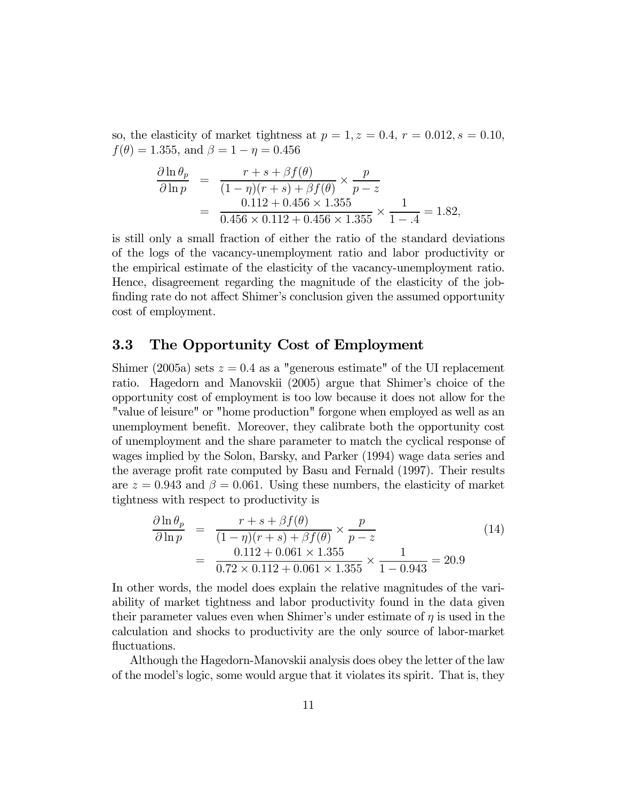so, the elasticity of market tightness at  $p = 1, z = 0.4, r = 0.012, s = 0.10$ ,  $f(\theta)=1.355$ , and  $\beta=1-\eta=0.456$ 

$$
\frac{\partial \ln \theta_p}{\partial \ln p} = \frac{r + s + \beta f(\theta)}{(1 - \eta)(r + s) + \beta f(\theta)} \times \frac{p}{p - z}
$$
  
= 
$$
\frac{0.112 + 0.456 \times 1.355}{0.456 \times 0.112 + 0.456 \times 1.355} \times \frac{1}{1 - .4} = 1.82,
$$

is still only a small fraction of either the ratio of the standard deviations of the logs of the vacancy-unemployment ratio and labor productivity or the empirical estimate of the elasticity of the vacancy-unemployment ratio. Hence, disagreement regarding the magnitude of the elasticity of the jobfinding rate do not affect Shimer's conclusion given the assumed opportunity cost of employment.

#### 3.3 The Opportunity Cost of Employment

Shimer (2005a) sets  $z = 0.4$  as a "generous estimate" of the UI replacement ratio. Hagedorn and Manovskii (2005) argue that Shimer's choice of the opportunity cost of employment is too low because it does not allow for the "value of leisure" or "home production" forgone when employed as well as an unemployment benefit. Moreover, they calibrate both the opportunity cost of unemployment and the share parameter to match the cyclical response of wages implied by the Solon, Barsky, and Parker (1994) wage data series and the average profit rate computed by Basu and Fernald (1997). Their results are  $z = 0.943$  and  $\beta = 0.061$ . Using these numbers, the elasticity of market tightness with respect to productivity is

$$
\frac{\partial \ln \theta_p}{\partial \ln p} = \frac{r+s+\beta f(\theta)}{(1-\eta)(r+s)+\beta f(\theta)} \times \frac{p}{p-z}
$$
\n
$$
= \frac{0.112+0.061 \times 1.355}{0.72 \times 0.112+0.061 \times 1.355} \times \frac{1}{1-0.943} = 20.9
$$
\n(14)

In other words, the model does explain the relative magnitudes of the variability of market tightness and labor productivity found in the data given their parameter values even when Shimer's under estimate of  $\eta$  is used in the calculation and shocks to productivity are the only source of labor-market fluctuations.

Although the Hagedorn-Manovskii analysis does obey the letter of the law of the model's logic, some would argue that it violates its spirit. That is, they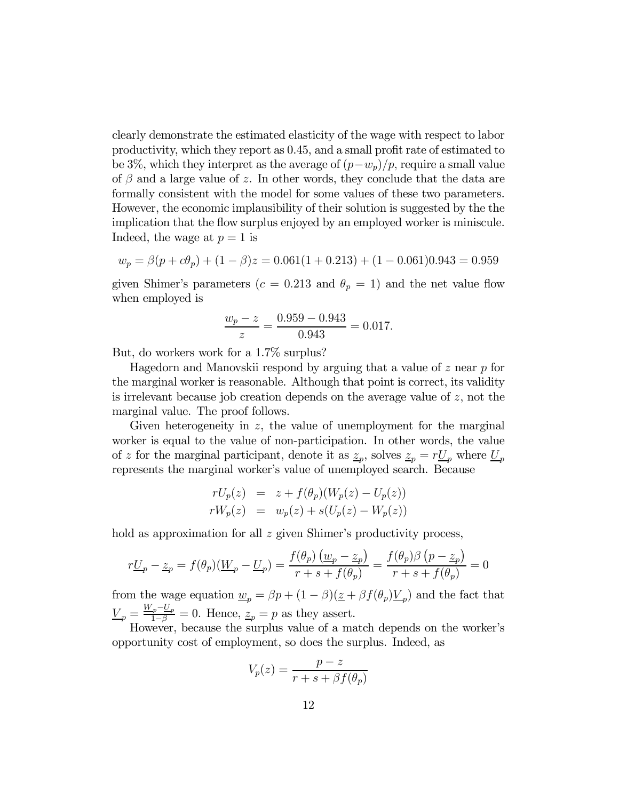clearly demonstrate the estimated elasticity of the wage with respect to labor productivity, which they report as 0.45, and a small profit rate of estimated to be 3%, which they interpret as the average of  $(p-w_p)/p$ , require a small value of  $\beta$  and a large value of z. In other words, they conclude that the data are formally consistent with the model for some values of these two parameters. However, the economic implausibility of their solution is suggested by the the implication that the flow surplus enjoyed by an employed worker is miniscule. Indeed, the wage at  $p = 1$  is

$$
w_p = \beta(p + c\theta_p) + (1 - \beta)z = 0.061(1 + 0.213) + (1 - 0.061)0.943 = 0.959
$$

given Shimer's parameters ( $c = 0.213$  and  $\theta_p = 1$ ) and the net value flow when employed is

$$
\frac{w_p - z}{z} = \frac{0.959 - 0.943}{0.943} = 0.017.
$$

But, do workers work for a 1.7% surplus?

Hagedorn and Manovskii respond by arguing that a value of  $z$  near  $p$  for the marginal worker is reasonable. Although that point is correct, its validity is irrelevant because job creation depends on the average value of  $z$ , not the marginal value. The proof follows.

Given heterogeneity in  $z$ , the value of unemployment for the marginal worker is equal to the value of non-participation. In other words, the value of z for the marginal participant, denote it as  $z_p$ , solves  $z_p = rL_p$  where  $L_p$ represents the marginal worker's value of unemployed search. Because

$$
rU_p(z) = z + f(\theta_p)(W_p(z) - U_p(z))
$$
  
\n
$$
rW_p(z) = w_p(z) + s(U_p(z) - W_p(z))
$$

hold as approximation for all z given Shimer's productivity process,

$$
r\underline{U}_p - \underline{z}_p = f(\theta_p)(\underline{W}_p - \underline{U}_p) = \frac{f(\theta_p)(\underline{w}_p - \underline{z}_p)}{r + s + f(\theta_p)} = \frac{f(\theta_p)\beta(p - \underline{z}_p)}{r + s + f(\theta_p)} = 0
$$

from the wage equation  $\underline{w}_p = \beta p + (1 - \beta)(\underline{z} + \beta f(\theta_p)\underline{V}_p)$  and the fact that  $\underline{V}_p = \frac{W_p - U_p}{1 - \beta} = 0$ . Hence,  $\underline{z}_p = p$  as they assert.

However, because the surplus value of a match depends on the worker's opportunity cost of employment, so does the surplus. Indeed, as

$$
V_p(z) = \frac{p-z}{r+s+\beta f(\theta_p)}
$$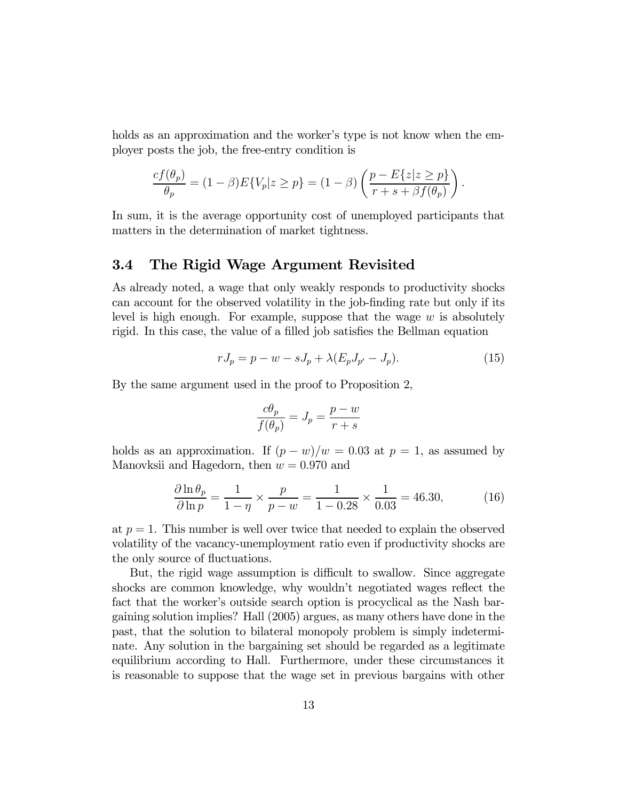holds as an approximation and the worker's type is not know when the employer posts the job, the free-entry condition is

$$
\frac{cf(\theta_p)}{\theta_p} = (1-\beta)E\{V_p|z \ge p\} = (1-\beta)\left(\frac{p - E\{z|z \ge p\}}{r + s + \beta f(\theta_p)}\right).
$$

In sum, it is the average opportunity cost of unemployed participants that matters in the determination of market tightness.

# 3.4 The Rigid Wage Argument Revisited

As already noted, a wage that only weakly responds to productivity shocks can account for the observed volatility in the job-finding rate but only if its level is high enough. For example, suppose that the wage  $w$  is absolutely rigid. In this case, the value of a filled job satisfies the Bellman equation

$$
rJ_p = p - w - sJ_p + \lambda (E_p J_{p'} - J_p).
$$
 (15)

By the same argument used in the proof to Proposition 2,

$$
\frac{c\theta_p}{f(\theta_p)} = J_p = \frac{p-w}{r+s}
$$

holds as an approximation. If  $(p - w)/w = 0.03$  at  $p = 1$ , as assumed by Manovksii and Hagedorn, then  $w = 0.970$  and

$$
\frac{\partial \ln \theta_p}{\partial \ln p} = \frac{1}{1 - \eta} \times \frac{p}{p - w} = \frac{1}{1 - 0.28} \times \frac{1}{0.03} = 46.30,\tag{16}
$$

at  $p = 1$ . This number is well over twice that needed to explain the observed volatility of the vacancy-unemployment ratio even if productivity shocks are the only source of fluctuations.

But, the rigid wage assumption is difficult to swallow. Since aggregate shocks are common knowledge, why wouldn't negotiated wages reflect the fact that the worker's outside search option is procyclical as the Nash bargaining solution implies? Hall (2005) argues, as many others have done in the past, that the solution to bilateral monopoly problem is simply indeterminate. Any solution in the bargaining set should be regarded as a legitimate equilibrium according to Hall. Furthermore, under these circumstances it is reasonable to suppose that the wage set in previous bargains with other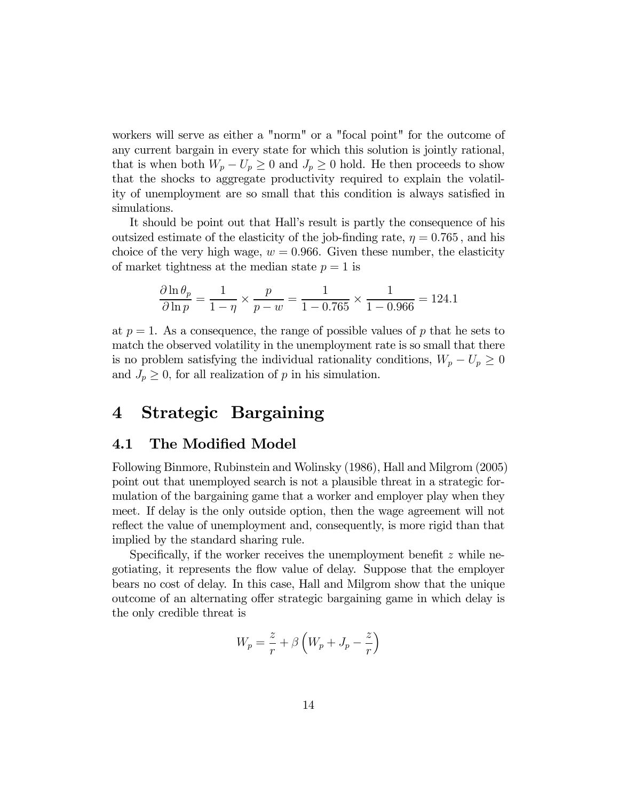workers will serve as either a "norm" or a "focal point" for the outcome of any current bargain in every state for which this solution is jointly rational, that is when both  $W_p - U_p \geq 0$  and  $J_p \geq 0$  hold. He then proceeds to show that the shocks to aggregate productivity required to explain the volatility of unemployment are so small that this condition is always satisfied in simulations.

It should be point out that Hall's result is partly the consequence of his outsized estimate of the elasticity of the job-finding rate,  $\eta = 0.765$ , and his choice of the very high wage,  $w = 0.966$ . Given these number, the elasticity of market tightness at the median state  $p = 1$  is

$$
\frac{\partial \ln \theta_p}{\partial \ln p} = \frac{1}{1 - \eta} \times \frac{p}{p - w} = \frac{1}{1 - 0.765} \times \frac{1}{1 - 0.966} = 124.1
$$

at  $p = 1$ . As a consequence, the range of possible values of p that he sets to match the observed volatility in the unemployment rate is so small that there is no problem satisfying the individual rationality conditions,  $W_p - U_p \geq 0$ and  $J_p \geq 0$ , for all realization of p in his simulation.

# 4 Strategic Bargaining

#### 4.1 The Modified Model

Following Binmore, Rubinstein and Wolinsky (1986), Hall and Milgrom (2005) point out that unemployed search is not a plausible threat in a strategic formulation of the bargaining game that a worker and employer play when they meet. If delay is the only outside option, then the wage agreement will not reflect the value of unemployment and, consequently, is more rigid than that implied by the standard sharing rule.

Specifically, if the worker receives the unemployment benefit  $z$  while negotiating, it represents the flow value of delay. Suppose that the employer bears no cost of delay. In this case, Hall and Milgrom show that the unique outcome of an alternating offer strategic bargaining game in which delay is the only credible threat is

$$
W_p = \frac{z}{r} + \beta \left( W_p + J_p - \frac{z}{r} \right)
$$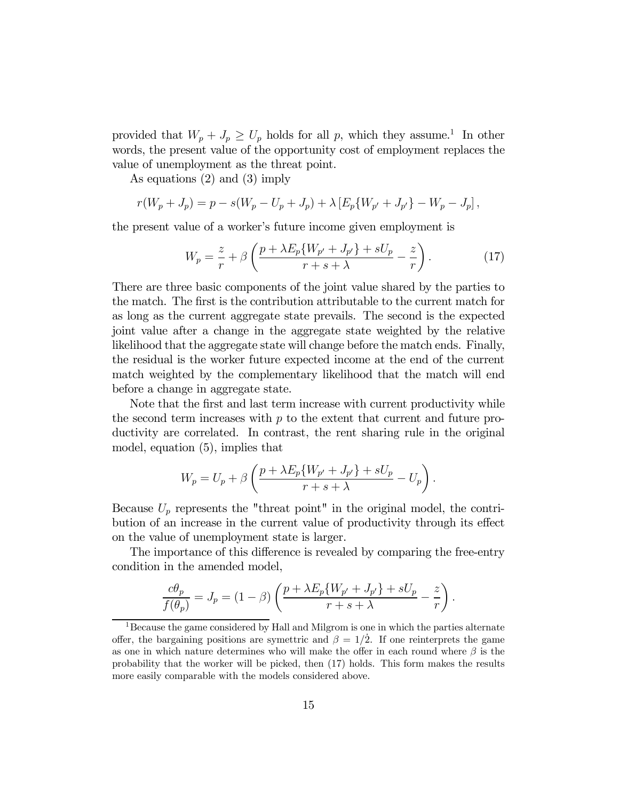provided that  $W_p + J_p \ge U_p$  holds for all p, which they assume.<sup>1</sup> In other words, the present value of the opportunity cost of employment replaces the value of unemployment as the threat point.

As equations (2) and (3) imply

$$
r(W_p + J_p) = p - s(W_p - U_p + J_p) + \lambda \left[ E_p \{ W_{p'} + J_{p'} \} - W_p - J_p \right],
$$

the present value of a worker's future income given employment is

$$
W_p = \frac{z}{r} + \beta \left( \frac{p + \lambda E_p \{ W_{p'} + J_{p'} \} + sU_p}{r + s + \lambda} - \frac{z}{r} \right). \tag{17}
$$

There are three basic components of the joint value shared by the parties to the match. The first is the contribution attributable to the current match for as long as the current aggregate state prevails. The second is the expected joint value after a change in the aggregate state weighted by the relative likelihood that the aggregate state will change before the match ends. Finally, the residual is the worker future expected income at the end of the current match weighted by the complementary likelihood that the match will end before a change in aggregate state.

Note that the first and last term increase with current productivity while the second term increases with  $p$  to the extent that current and future productivity are correlated. In contrast, the rent sharing rule in the original model, equation (5), implies that

$$
W_p = U_p + \beta \left( \frac{p + \lambda E_p \{ W_{p'} + J_{p'} \} + sU_p}{r + s + \lambda} - U_p \right).
$$

Because  $U_p$  represents the "threat point" in the original model, the contribution of an increase in the current value of productivity through its effect on the value of unemployment state is larger.

The importance of this difference is revealed by comparing the free-entry condition in the amended model,

$$
\frac{c\theta_p}{f(\theta_p)} = J_p = (1 - \beta) \left( \frac{p + \lambda E_p \{W_{p'} + J_{p'}\} + sU_p}{r + s + \lambda} - \frac{z}{r} \right).
$$

<sup>&</sup>lt;sup>1</sup>Because the game considered by Hall and Milgrom is one in which the parties alternate offer, the bargaining positions are symettric and  $\beta = 1/2$ . If one reinterprets the game as one in which nature determines who will make the offer in each round where  $\beta$  is the probability that the worker will be picked, then (17) holds. This form makes the results more easily comparable with the models considered above.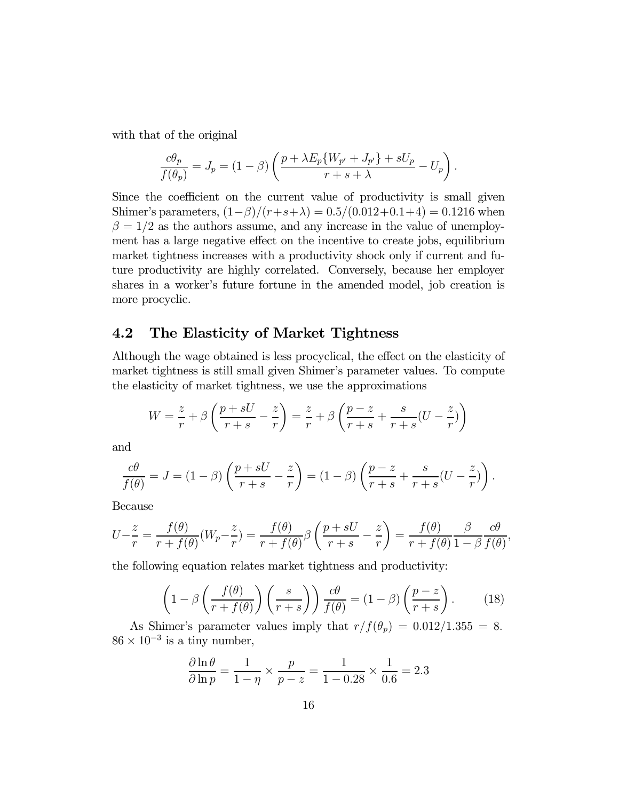with that of the original

$$
\frac{c\theta_p}{f(\theta_p)} = J_p = (1 - \beta) \left( \frac{p + \lambda E_p \{W_{p'} + J_{p'}\} + sU_p}{r + s + \lambda} - U_p \right).
$$

Since the coefficient on the current value of productivity is small given Shimer's parameters,  $(1-\beta)/(r+s+\lambda) = 0.5/(0.012+0.1+4) = 0.1216$  when  $\beta = 1/2$  as the authors assume, and any increase in the value of unemployment has a large negative effect on the incentive to create jobs, equilibrium market tightness increases with a productivity shock only if current and future productivity are highly correlated. Conversely, because her employer shares in a worker's future fortune in the amended model, job creation is more procyclic.

# 4.2 The Elasticity of Market Tightness

Although the wage obtained is less procyclical, the effect on the elasticity of market tightness is still small given Shimer's parameter values. To compute the elasticity of market tightness, we use the approximations

$$
W = \frac{z}{r} + \beta \left( \frac{p+sU}{r+s} - \frac{z}{r} \right) = \frac{z}{r} + \beta \left( \frac{p-z}{r+s} + \frac{s}{r+s} (U - \frac{z}{r}) \right)
$$

and

$$
\frac{c\theta}{f(\theta)} = J = (1 - \beta) \left( \frac{p + sU}{r + s} - \frac{z}{r} \right) = (1 - \beta) \left( \frac{p - z}{r + s} + \frac{s}{r + s} (U - \frac{z}{r}) \right).
$$

Because

$$
U - \frac{z}{r} = \frac{f(\theta)}{r + f(\theta)} (W_p - \frac{z}{r}) = \frac{f(\theta)}{r + f(\theta)} \beta \left( \frac{p + sU}{r + s} - \frac{z}{r} \right) = \frac{f(\theta)}{r + f(\theta)} \frac{\beta}{1 - \beta} \frac{c\theta}{f(\theta)},
$$

the following equation relates market tightness and productivity:

$$
\left(1 - \beta \left(\frac{f(\theta)}{r + f(\theta)}\right) \left(\frac{s}{r + s}\right)\right) \frac{c\theta}{f(\theta)} = (1 - \beta) \left(\frac{p - z}{r + s}\right). \tag{18}
$$

As Shimer's parameter values imply that  $r/f(\theta_p)=0.012/1.355 = 8$ .  $86 \times 10^{-3}$  is a tiny number,

$$
\frac{\partial \ln \theta}{\partial \ln p} = \frac{1}{1 - \eta} \times \frac{p}{p - z} = \frac{1}{1 - 0.28} \times \frac{1}{0.6} = 2.3
$$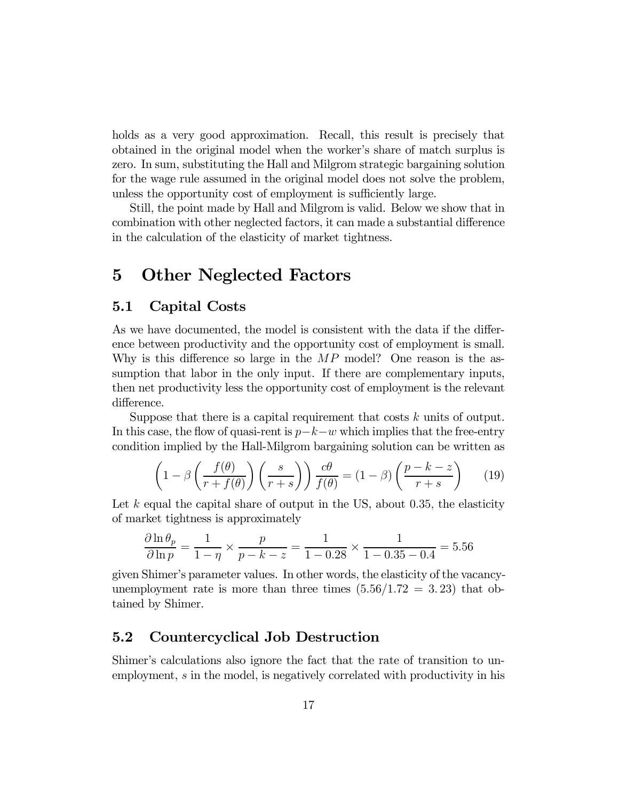holds as a very good approximation. Recall, this result is precisely that obtained in the original model when the worker's share of match surplus is zero. In sum, substituting the Hall and Milgrom strategic bargaining solution for the wage rule assumed in the original model does not solve the problem, unless the opportunity cost of employment is sufficiently large.

Still, the point made by Hall and Milgrom is valid. Below we show that in combination with other neglected factors, it can made a substantial difference in the calculation of the elasticity of market tightness.

# 5 Other Neglected Factors

# 5.1 Capital Costs

As we have documented, the model is consistent with the data if the difference between productivity and the opportunity cost of employment is small. Why is this difference so large in the  $MP$  model? One reason is the assumption that labor in the only input. If there are complementary inputs, then net productivity less the opportunity cost of employment is the relevant difference.

Suppose that there is a capital requirement that costs  $k$  units of output. In this case, the flow of quasi-rent is  $p-k-w$  which implies that the free-entry condition implied by the Hall-Milgrom bargaining solution can be written as

$$
\left(1 - \beta \left(\frac{f(\theta)}{r + f(\theta)}\right) \left(\frac{s}{r + s}\right)\right) \frac{c\theta}{f(\theta)} = (1 - \beta) \left(\frac{p - k - z}{r + s}\right) \tag{19}
$$

Let  $k$  equal the capital share of output in the US, about 0.35, the elasticity of market tightness is approximately

$$
\frac{\partial \ln \theta_p}{\partial \ln p} = \frac{1}{1 - \eta} \times \frac{p}{p - k - z} = \frac{1}{1 - 0.28} \times \frac{1}{1 - 0.35 - 0.4} = 5.56
$$

given Shimer's parameter values. In other words, the elasticity of the vacancyunemployment rate is more than three times  $(5.56/1.72 = 3.23)$  that obtained by Shimer.

#### 5.2 Countercyclical Job Destruction

Shimer's calculations also ignore the fact that the rate of transition to unemployment, s in the model, is negatively correlated with productivity in his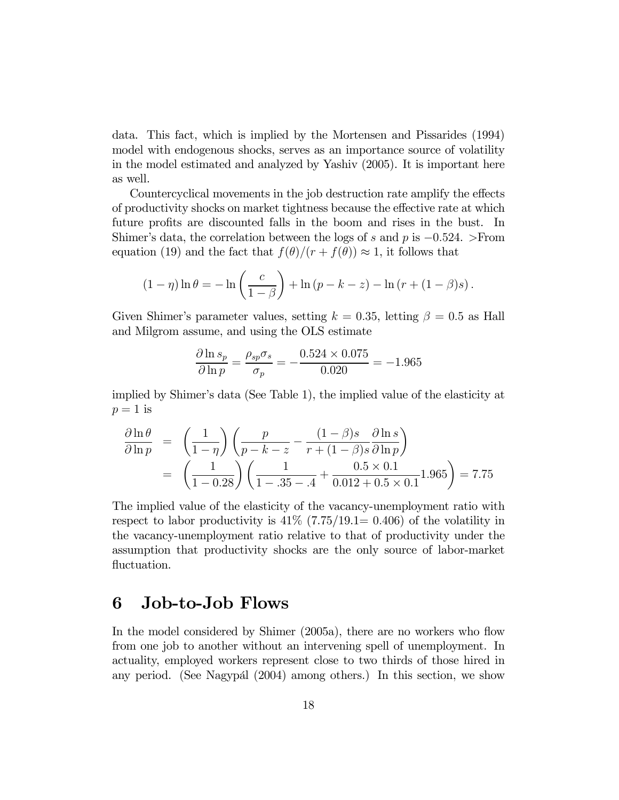data. This fact, which is implied by the Mortensen and Pissarides (1994) model with endogenous shocks, serves as an importance source of volatility in the model estimated and analyzed by Yashiv (2005). It is important here as well.

Countercyclical movements in the job destruction rate amplify the effects of productivity shocks on market tightness because the effective rate at which future profits are discounted falls in the boom and rises in the bust. In Shimer's data, the correlation between the logs of s and p is  $-0.524.$  >From equation (19) and the fact that  $f(\theta)/(r + f(\theta)) \approx 1$ , it follows that

$$
(1 - \eta) \ln \theta = -\ln \left( \frac{c}{1 - \beta} \right) + \ln (p - k - z) - \ln (r + (1 - \beta)s).
$$

Given Shimer's parameter values, setting  $k = 0.35$ , letting  $\beta = 0.5$  as Hall and Milgrom assume, and using the OLS estimate

$$
\frac{\partial \ln s_p}{\partial \ln p} = \frac{\rho_{sp}\sigma_s}{\sigma_p} = -\frac{0.524 \times 0.075}{0.020} = -1.965
$$

implied by Shimer's data (See Table 1), the implied value of the elasticity at  $p=1$  is

$$
\frac{\partial \ln \theta}{\partial \ln p} = \left(\frac{1}{1-\eta}\right) \left(\frac{p}{p-k-z} - \frac{(1-\beta)s}{r+(1-\beta)s} \frac{\partial \ln s}{\partial \ln p}\right)
$$

$$
= \left(\frac{1}{1-0.28}\right) \left(\frac{1}{1-0.35-0.4} + \frac{0.5 \times 0.1}{0.012+0.5 \times 0.1} \cdot 1.965\right) = 7.75
$$

The implied value of the elasticity of the vacancy-unemployment ratio with respect to labor productivity is  $41\%$  (7.75/19.1= 0.406) of the volatility in the vacancy-unemployment ratio relative to that of productivity under the assumption that productivity shocks are the only source of labor-market fluctuation.

# 6 Job-to-Job Flows

In the model considered by Shimer (2005a), there are no workers who flow from one job to another without an intervening spell of unemployment. In actuality, employed workers represent close to two thirds of those hired in any period. (See Nagypál (2004) among others.) In this section, we show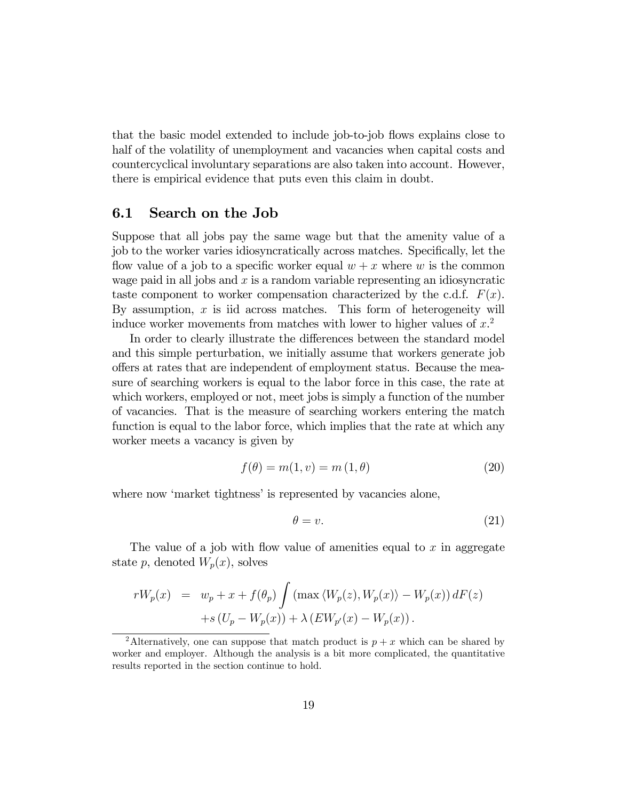that the basic model extended to include job-to-job flows explains close to half of the volatility of unemployment and vacancies when capital costs and countercyclical involuntary separations are also taken into account. However, there is empirical evidence that puts even this claim in doubt.

#### 6.1 Search on the Job

Suppose that all jobs pay the same wage but that the amenity value of a job to the worker varies idiosyncratically across matches. Specifically, let the flow value of a job to a specific worker equal  $w + x$  where w is the common wage paid in all jobs and  $x$  is a random variable representing an idiosyncratic taste component to worker compensation characterized by the c.d.f.  $F(x)$ . By assumption,  $x$  is iid across matches. This form of heterogeneity will induce worker movements from matches with lower to higher values of  $x^2$ .

In order to clearly illustrate the differences between the standard model and this simple perturbation, we initially assume that workers generate job offers at rates that are independent of employment status. Because the measure of searching workers is equal to the labor force in this case, the rate at which workers, employed or not, meet jobs is simply a function of the number of vacancies. That is the measure of searching workers entering the match function is equal to the labor force, which implies that the rate at which any worker meets a vacancy is given by

$$
f(\theta) = m(1, v) = m(1, \theta)
$$
\n<sup>(20)</sup>

where now 'market tightness' is represented by vacancies alone,

$$
\theta = v. \tag{21}
$$

The value of a job with flow value of amenities equal to  $x$  in aggregate state p, denoted  $W_p(x)$ , solves

$$
rW_p(x) = w_p + x + f(\theta_p) \int (\max \langle W_p(z), W_p(x) \rangle - W_p(x)) dF(z)
$$
  
+
$$
s(U_p - W_p(x)) + \lambda (EW_{p'}(x) - W_p(x)).
$$

<sup>&</sup>lt;sup>2</sup>Alternatively, one can suppose that match product is  $p + x$  which can be shared by worker and employer. Although the analysis is a bit more complicated, the quantitative results reported in the section continue to hold.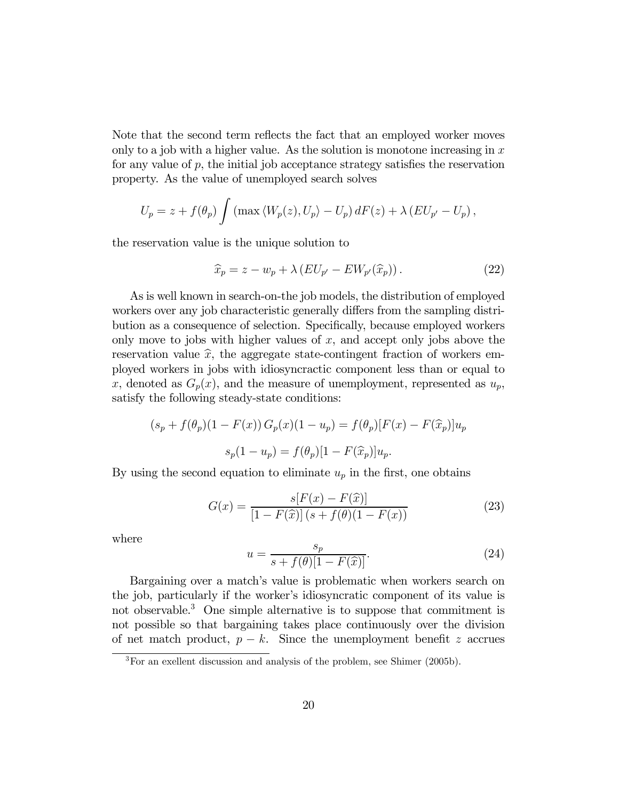Note that the second term reflects the fact that an employed worker moves only to a job with a higher value. As the solution is monotone increasing in  $x$ for any value of  $p$ , the initial job acceptance strategy satisfies the reservation property. As the value of unemployed search solves

$$
U_p = z + f(\theta_p) \int (\max \langle W_p(z), U_p \rangle - U_p) dF(z) + \lambda (EU_{p'} - U_p),
$$

the reservation value is the unique solution to

$$
\widehat{x}_p = z - w_p + \lambda \left( EU_{p'} - EW_{p'}(\widehat{x}_p) \right). \tag{22}
$$

As is well known in search-on-the job models, the distribution of employed workers over any job characteristic generally differs from the sampling distribution as a consequence of selection. Specifically, because employed workers only move to jobs with higher values of  $x$ , and accept only jobs above the reservation value  $\hat{x}$ , the aggregate state-contingent fraction of workers employed workers in jobs with idiosyncractic component less than or equal to x, denoted as  $G_p(x)$ , and the measure of unemployment, represented as  $u_p$ , satisfy the following steady-state conditions:

$$
(s_p + f(\theta_p)(1 - F(x)) G_p(x)(1 - u_p) = f(\theta_p)[F(x) - F(\hat{x}_p)]u_p
$$
  

$$
s_p(1 - u_p) = f(\theta_p)[1 - F(\hat{x}_p)]u_p.
$$

By using the second equation to eliminate  $u_p$  in the first, one obtains

$$
G(x) = \frac{s[F(x) - F(\hat{x})]}{[1 - F(\hat{x})](s + f(\theta)(1 - F(x))}
$$
\n(23)

where

$$
u = \frac{s_p}{s + f(\theta)[1 - F(\hat{x})]}.
$$
\n(24)

Bargaining over a match's value is problematic when workers search on the job, particularly if the worker's idiosyncratic component of its value is not observable.<sup>3</sup> One simple alternative is to suppose that commitment is not possible so that bargaining takes place continuously over the division of net match product,  $p - k$ . Since the unemployment benefit z accrues

<sup>&</sup>lt;sup>3</sup>For an exellent discussion and analysis of the problem, see Shimer (2005b).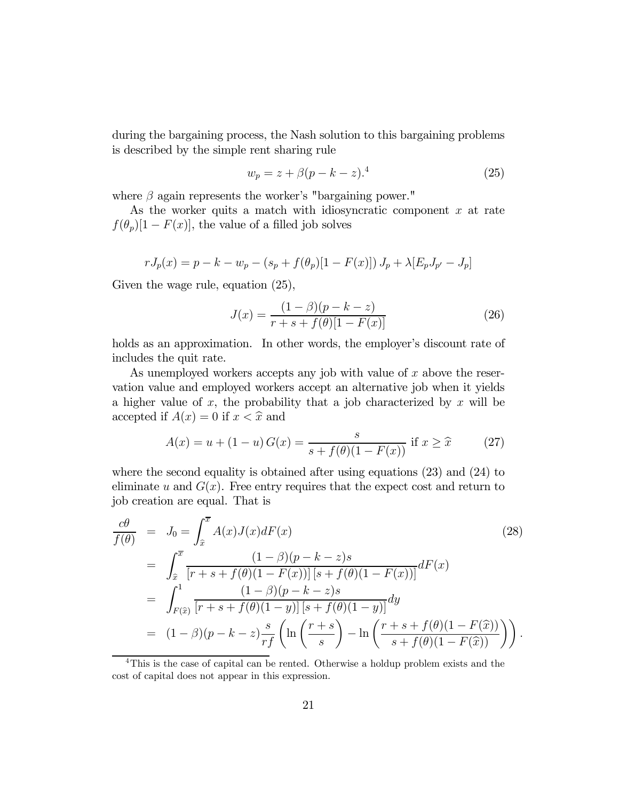during the bargaining process, the Nash solution to this bargaining problems is described by the simple rent sharing rule

$$
w_p = z + \beta (p - k - z).^4
$$
 (25)

where  $\beta$  again represents the worker's "bargaining power."

As the worker quits a match with idiosyncratic component  $x$  at rate  $f(\theta_p)[1 - F(x)]$ , the value of a filled job solves

$$
rJ_p(x) = p - k - w_p - (s_p + f(\theta_p)[1 - F(x)]) J_p + \lambda [E_p J_{p'} - J_p]
$$

Given the wage rule, equation (25),

$$
J(x) = \frac{(1 - \beta)(p - k - z)}{r + s + f(\theta)[1 - F(x)]}
$$
\n(26)

holds as an approximation. In other words, the employer's discount rate of includes the quit rate.

As unemployed workers accepts any job with value of  $x$  above the reservation value and employed workers accept an alternative job when it yields a higher value of  $x$ , the probability that a job characterized by  $x$  will be accepted if  $A(x)=0$  if  $x < \hat{x}$  and

$$
A(x) = u + (1 - u) G(x) = \frac{s}{s + f(\theta)(1 - F(x))} \text{ if } x \ge \hat{x} \qquad (27)
$$

where the second equality is obtained after using equations (23) and (24) to eliminate u and  $G(x)$ . Free entry requires that the expect cost and return to job creation are equal. That is

$$
\frac{c\theta}{f(\theta)} = J_0 = \int_{\hat{x}}^{\overline{x}} A(x)J(x)dF(x)
$$
\n
$$
= \int_{\hat{x}}^{\overline{x}} \frac{(1-\beta)(p-k-z)s}{[r+s+f(\theta)(1-F(x))][s+f(\theta)(1-F(x))]^{\theta}} dF(x)
$$
\n
$$
= \int_{F(\hat{x})}^{1} \frac{(1-\beta)(p-k-z)s}{[r+s+f(\theta)(1-y)][s+f(\theta)(1-y)]^{\theta}} dy
$$
\n
$$
= (1-\beta)(p-k-z)\frac{s}{rf} \left(\ln\left(\frac{r+s}{s}\right) - \ln\left(\frac{r+s+f(\theta)(1-F(\hat{x}))}{s+f(\theta)(1-F(\hat{x}))}\right)\right).
$$
\n(28)

<sup>4</sup>This is the case of capital can be rented. Otherwise a holdup problem exists and the cost of capital does not appear in this expression.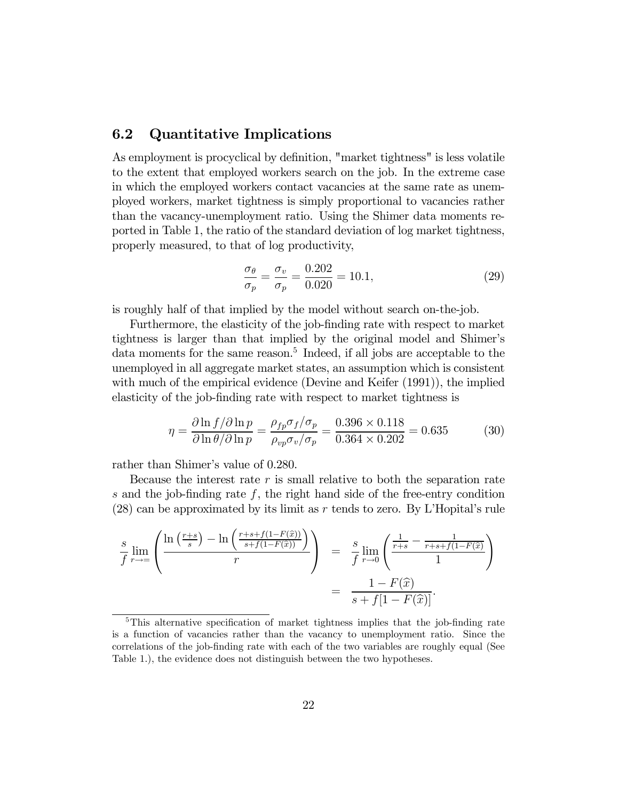#### 6.2 Quantitative Implications

As employment is procyclical by definition, "market tightness" is less volatile to the extent that employed workers search on the job. In the extreme case in which the employed workers contact vacancies at the same rate as unemployed workers, market tightness is simply proportional to vacancies rather than the vacancy-unemployment ratio. Using the Shimer data moments reported in Table 1, the ratio of the standard deviation of log market tightness, properly measured, to that of log productivity,

$$
\frac{\sigma_{\theta}}{\sigma_p} = \frac{\sigma_v}{\sigma_p} = \frac{0.202}{0.020} = 10.1,\tag{29}
$$

is roughly half of that implied by the model without search on-the-job.

Furthermore, the elasticity of the job-finding rate with respect to market tightness is larger than that implied by the original model and Shimer's data moments for the same reason.<sup>5</sup> Indeed, if all jobs are acceptable to the unemployed in all aggregate market states, an assumption which is consistent with much of the empirical evidence (Devine and Keifer  $(1991)$ ), the implied elasticity of the job-finding rate with respect to market tightness is

$$
\eta = \frac{\partial \ln f / \partial \ln p}{\partial \ln \theta / \partial \ln p} = \frac{\rho_{fp} \sigma_f / \sigma_p}{\rho_{vp} \sigma_v / \sigma_p} = \frac{0.396 \times 0.118}{0.364 \times 0.202} = 0.635
$$
(30)

rather than Shimer's value of 0.280.

Because the interest rate  $r$  is small relative to both the separation rate s and the job-finding rate  $f$ , the right hand side of the free-entry condition (28) can be approximated by its limit as r tends to zero. By L'Hopital's rule

$$
\frac{s}{f} \lim_{r \to \infty} \left( \frac{\ln\left(\frac{r+s}{s}\right) - \ln\left(\frac{r+s+f(1-F(\hat{x}))}{s+f(1-F(\hat{x}))}\right)}{r} \right) = \frac{s}{f} \lim_{r \to 0} \left( \frac{\frac{1}{r+s} - \frac{1}{r+s+f(1-F(\hat{x}))}}{1} \right)
$$

$$
= \frac{1 - F(\hat{x})}{s + f[1 - F(\hat{x})]}.
$$

<sup>&</sup>lt;sup>5</sup>This alternative specification of market tightness implies that the job-finding rate is a function of vacancies rather than the vacancy to unemployment ratio. Since the correlations of the job-finding rate with each of the two variables are roughly equal (See Table 1.), the evidence does not distinguish between the two hypotheses.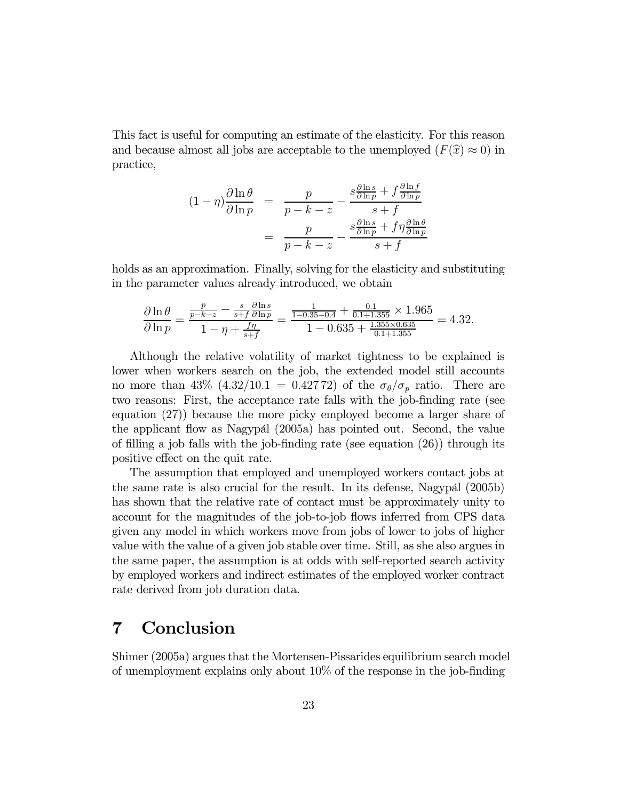This fact is useful for computing an estimate of the elasticity. For this reason and because almost all jobs are acceptable to the unemployed  $(F(\hat{x}) \approx 0)$  in practice,

$$
(1 - \eta) \frac{\partial \ln \theta}{\partial \ln p} = \frac{p}{p - k - z} - \frac{s \frac{\partial \ln s}{\partial \ln p} + f \frac{\partial \ln f}{\partial \ln p}}{s + f}
$$

$$
= \frac{p}{p - k - z} - \frac{s \frac{\partial \ln s}{\partial \ln p} + f \eta \frac{\partial \ln \theta}{\partial \ln p}}{s + f}
$$

holds as an approximation. Finally, solving for the elasticity and substituting in the parameter values already introduced, we obtain

$$
\frac{\partial \ln \theta}{\partial \ln p} = \frac{\frac{p}{p - k - z} - \frac{s}{s + f} \frac{\partial \ln s}{\partial \ln p}}{1 - \eta + \frac{f\eta}{s + f}} = \frac{\frac{1}{1 - 0.35 - 0.4} + \frac{0.1}{0.1 + 1.355} \times 1.965}{1 - 0.635 + \frac{1.355 \times 0.635}{0.1 + 1.355}} = 4.32.
$$

Although the relative volatility of market tightness to be explained is lower when workers search on the job, the extended model still accounts no more than 43%  $(4.32/10.1=0.42772)$  of the  $\sigma_{\theta}/\sigma_{p}$  ratio. There are two reasons: First, the acceptance rate falls with the job-finding rate (see equation (27)) because the more picky employed become a larger share of the applicant flow as Nagypál (2005a) has pointed out. Second, the value of filling a job falls with the job-finding rate (see equation (26)) through its positive effect on the quit rate.

The assumption that employed and unemployed workers contact jobs at the same rate is also crucial for the result. In its defense, Nagypál (2005b) has shown that the relative rate of contact must be approximately unity to account for the magnitudes of the job-to-job flows inferred from CPS data given any model in which workers move from jobs of lower to jobs of higher value with the value of a given job stable over time. Still, as she also argues in the same paper, the assumption is at odds with self-reported search activity by employed workers and indirect estimates of the employed worker contract rate derived from job duration data.

# 7 Conclusion

Shimer (2005a) argues that the Mortensen-Pissarides equilibrium search model of unemployment explains only about 10% of the response in the job-finding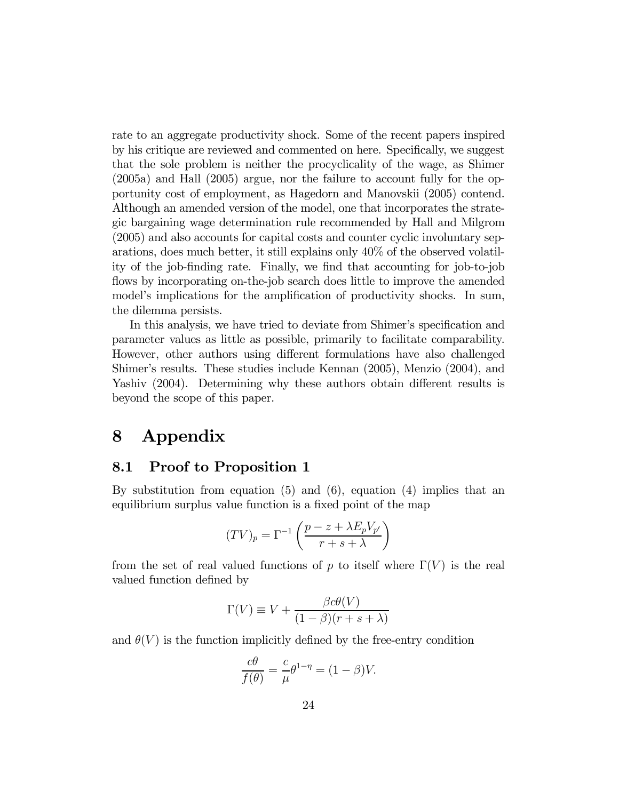rate to an aggregate productivity shock. Some of the recent papers inspired by his critique are reviewed and commented on here. Specifically, we suggest that the sole problem is neither the procyclicality of the wage, as Shimer (2005a) and Hall (2005) argue, nor the failure to account fully for the opportunity cost of employment, as Hagedorn and Manovskii (2005) contend. Although an amended version of the model, one that incorporates the strategic bargaining wage determination rule recommended by Hall and Milgrom (2005) and also accounts for capital costs and counter cyclic involuntary separations, does much better, it still explains only 40% of the observed volatility of the job-finding rate. Finally, we find that accounting for job-to-job flows by incorporating on-the-job search does little to improve the amended model's implications for the amplification of productivity shocks. In sum, the dilemma persists.

In this analysis, we have tried to deviate from Shimer's specification and parameter values as little as possible, primarily to facilitate comparability. However, other authors using different formulations have also challenged Shimer's results. These studies include Kennan (2005), Menzio (2004), and Yashiv (2004). Determining why these authors obtain different results is beyond the scope of this paper.

# 8 Appendix

#### 8.1 Proof to Proposition 1

By substitution from equation  $(5)$  and  $(6)$ , equation  $(4)$  implies that an equilibrium surplus value function is a fixed point of the map

$$
(TV)_p = \Gamma^{-1}\left(\frac{p-z + \lambda E_p V_{p'}}{r+s+\lambda}\right)
$$

from the set of real valued functions of p to itself where  $\Gamma(V)$  is the real valued function defined by

$$
\Gamma(V) \equiv V + \frac{\beta c \theta(V)}{(1 - \beta)(r + s + \lambda)}
$$

and  $\theta(V)$  is the function implicitly defined by the free-entry condition

$$
\frac{c\theta}{f(\theta)} = \frac{c}{\mu}\theta^{1-\eta} = (1-\beta)V.
$$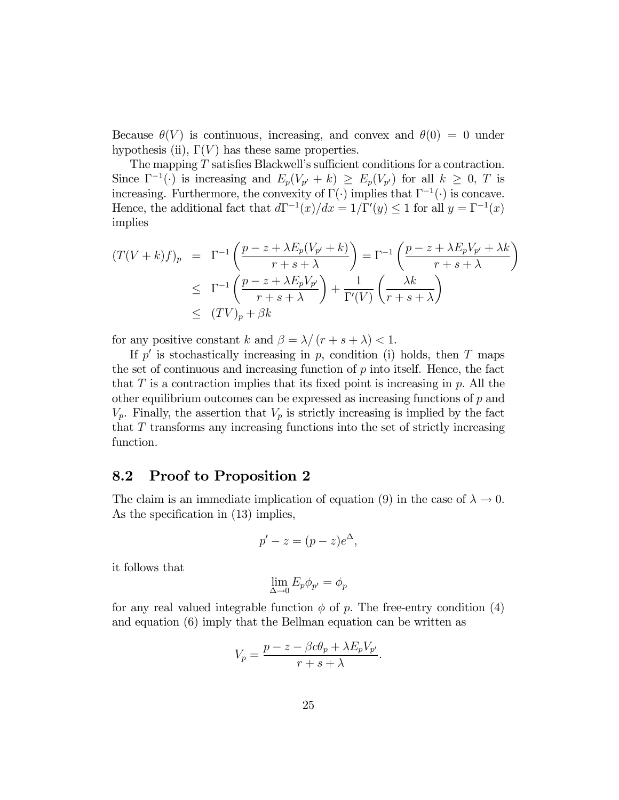Because  $\theta(V)$  is continuous, increasing, and convex and  $\theta(0) = 0$  under hypothesis (ii),  $\Gamma(V)$  has these same properties.

The mapping T satisfies Blackwell's sufficient conditions for a contraction. Since  $\Gamma^{-1}(\cdot)$  is increasing and  $E_p(V_{p'}+k) \ge E_p(V_{p'})$  for all  $k \ge 0$ , T is increasing. Furthermore, the convexity of  $\Gamma(\cdot)$  implies that  $\Gamma^{-1}(\cdot)$  is concave. Hence, the additional fact that  $d\Gamma^{-1}(x)/dx = 1/\Gamma'(y) \leq 1$  for all  $y = \Gamma^{-1}(x)$ implies

$$
(T(V+k)f)_p = \Gamma^{-1}\left(\frac{p-z+\lambda E_p(V_{p'}+k)}{r+s+\lambda}\right) = \Gamma^{-1}\left(\frac{p-z+\lambda E_pV_{p'}+\lambda k}{r+s+\lambda}\right)
$$
  

$$
\leq \Gamma^{-1}\left(\frac{p-z+\lambda E_pV_{p'}}{r+s+\lambda}\right) + \frac{1}{\Gamma'(V)}\left(\frac{\lambda k}{r+s+\lambda}\right)
$$
  

$$
\leq (TV)_p + \beta k
$$

for any positive constant k and  $\beta = \lambda/(r + s + \lambda) < 1$ .

If  $p'$  is stochastically increasing in  $p$ , condition (i) holds, then  $T$  maps the set of continuous and increasing function of  $p$  into itself. Hence, the fact that T is a contraction implies that its fixed point is increasing in  $p$ . All the other equilibrium outcomes can be expressed as increasing functions of  $p$  and  $V_p$ . Finally, the assertion that  $V_p$  is strictly increasing is implied by the fact that  $T$  transforms any increasing functions into the set of strictly increasing function.

# 8.2 Proof to Proposition 2

The claim is an immediate implication of equation (9) in the case of  $\lambda \to 0$ . As the specification in  $(13)$  implies,

$$
p'-z=(p-z)e^{\Delta},
$$

it follows that

$$
\lim_{\Delta \to 0} E_p \phi_{p'} = \phi_p
$$

for any real valued integrable function  $\phi$  of p. The free-entry condition (4) and equation (6) imply that the Bellman equation can be written as

$$
V_p = \frac{p - z - \beta c \theta_p + \lambda E_p V_{p'}}{r + s + \lambda}.
$$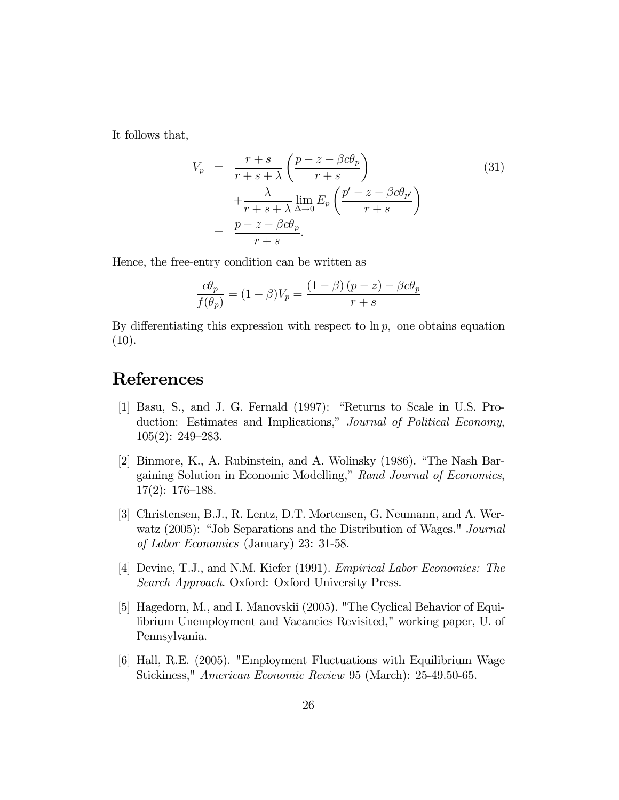It follows that,

$$
V_p = \frac{r+s}{r+s+\lambda} \left(\frac{p-z-\beta c\theta_p}{r+s}\right)
$$
  
 
$$
+ \frac{\lambda}{r+s+\lambda} \lim_{\Delta \to 0} E_p \left(\frac{p'-z-\beta c\theta_{p'}}{r+s}\right)
$$
  
 
$$
= \frac{p-z-\beta c\theta_p}{r+s}.
$$
 (31)

Hence, the free-entry condition can be written as

$$
\frac{c\theta_p}{f(\theta_p)} = (1 - \beta)V_p = \frac{(1 - \beta)(p - z) - \beta c\theta_p}{r + s}
$$

By differentiating this expression with respect to  $\ln p$ , one obtains equation  $(10).$ 

# References

- [1] Basu, S., and J. G. Fernald (1997): "Returns to Scale in U.S. Production: Estimates and Implications," Journal of Political Economy, 105(2): 249—283.
- [2] Binmore, K., A. Rubinstein, and A. Wolinsky (1986). "The Nash Bargaining Solution in Economic Modelling," Rand Journal of Economics, 17(2): 176—188.
- [3] Christensen, B.J., R. Lentz, D.T. Mortensen, G. Neumann, and A. Werwatz (2005): "Job Separations and the Distribution of Wages." Journal of Labor Economics (January) 23: 31-58.
- [4] Devine, T.J., and N.M. Kiefer (1991). Empirical Labor Economics: The Search Approach. Oxford: Oxford University Press.
- [5] Hagedorn, M., and I. Manovskii (2005). "The Cyclical Behavior of Equilibrium Unemployment and Vacancies Revisited," working paper, U. of Pennsylvania.
- [6] Hall, R.E. (2005). "Employment Fluctuations with Equilibrium Wage Stickiness," American Economic Review 95 (March): 25-49.50-65.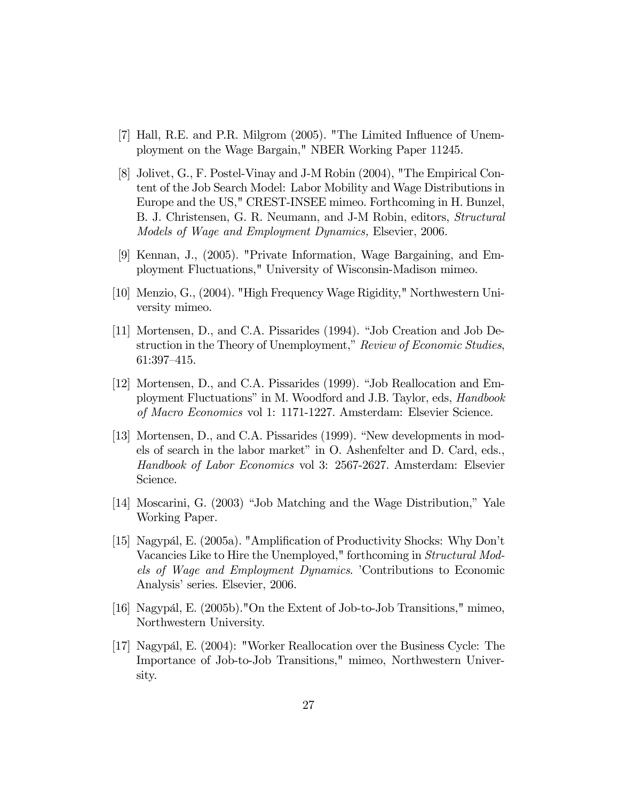- [7] Hall, R.E. and P.R. Milgrom (2005). "The Limited Influence of Unemployment on the Wage Bargain," NBER Working Paper 11245.
- [8] Jolivet, G., F. Postel-Vinay and J-M Robin (2004), "The Empirical Content of the Job Search Model: Labor Mobility and Wage Distributions in Europe and the US," CREST-INSEE mimeo. Forthcoming in H. Bunzel, B. J. Christensen, G. R. Neumann, and J-M Robin, editors, Structural Models of Wage and Employment Dynamics, Elsevier, 2006.
- [9] Kennan, J., (2005). "Private Information, Wage Bargaining, and Employment Fluctuations," University of Wisconsin-Madison mimeo.
- [10] Menzio, G., (2004). "High Frequency Wage Rigidity," Northwestern University mimeo.
- [11] Mortensen, D., and C.A. Pissarides (1994). "Job Creation and Job Destruction in the Theory of Unemployment," Review of Economic Studies, 61:397—415.
- [12] Mortensen, D., and C.A. Pissarides (1999). "Job Reallocation and Employment Fluctuations" in M. Woodford and J.B. Taylor, eds, Handbook of Macro Economics vol 1: 1171-1227. Amsterdam: Elsevier Science.
- [13] Mortensen, D., and C.A. Pissarides (1999). "New developments in models of search in the labor market" in O. Ashenfelter and D. Card, eds., Handbook of Labor Economics vol 3: 2567-2627. Amsterdam: Elsevier Science.
- [14] Moscarini, G. (2003) "Job Matching and the Wage Distribution," Yale Working Paper.
- [15] Nagypál, E. (2005a). "Amplification of Productivity Shocks: Why Don't Vacancies Like to Hire the Unemployed," forthcoming in Structural Models of Wage and Employment Dynamics. 'Contributions to Economic Analysis' series. Elsevier, 2006.
- [16] Nagypál, E. (2005b)."On the Extent of Job-to-Job Transitions," mimeo, Northwestern University.
- [17] Nagypál, E. (2004): "Worker Reallocation over the Business Cycle: The Importance of Job-to-Job Transitions," mimeo, Northwestern University.